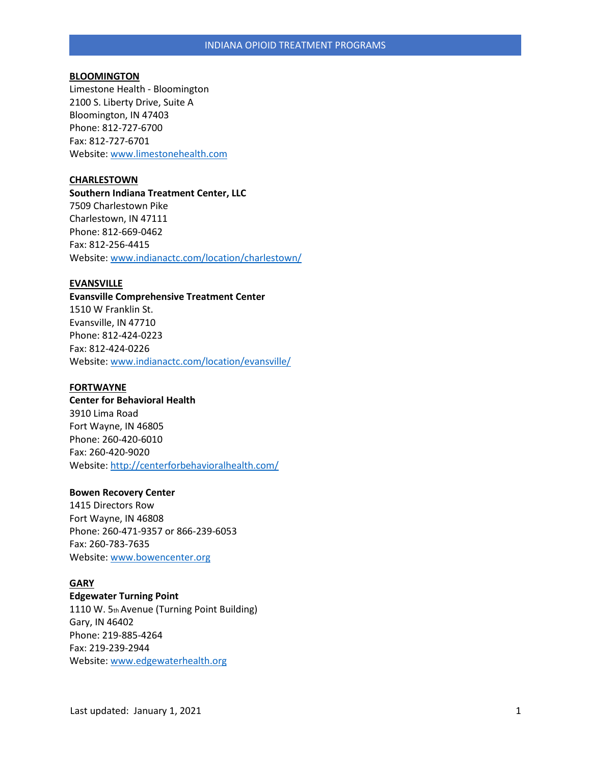#### **BLOOMINGTON**

Limestone Health - Bloomington 2100 S. Liberty Drive, Suite A Bloomington, IN 47403 Phone: 812-727-6700 Fax: 812-727-6701 Website[: www.limestonehealth.com](http://www.limestonehealth.com/)

## **CHARLESTOWN**

**Southern Indiana Treatment Center, LLC**  7509 Charlestown Pike Charlestown, IN 47111 Phone: 812-669-0462 Fax: 812-256-4415 Website[: www.indianactc.com/location/charlestown/](http://www.indianactc.com/location/charlestown/)

#### **EVANSVILLE**

**Evansville Comprehensive Treatment Center**  1510 W Franklin St. Evansville, IN 47710 Phone: 812-424-0223 Fax: 812-424-0226 Website[: www.indianactc.com/location/evansville/](http://www.indianactc.com/location/evansville/)

### **FORTWAYNE**

**Center for Behavioral Health**  3910 Lima Road Fort Wayne, IN 46805 Phone: 260-420-6010 Fax: 260-420-9020 Website[: http://centerforbehavioralhealth.com/](http://centerforbehavioralhealth.com/)

#### **Bowen Recovery Center**

1415 Directors Row Fort Wayne, IN 46808 Phone: 260-471-9357 or 866-239-6053 Fax: 260-783-7635 Website[: www.bowencenter.org](http://www.bowencenter.org/)

# **GARY**

# **Edgewater Turning Point**

1110 W. 5th Avenue (Turning Point Building) Gary, IN 46402 Phone: 219-885-4264 Fax: 219-239-2944 Website[: www.edgewaterhealth.org](http://www.edgewaterhealth.org/)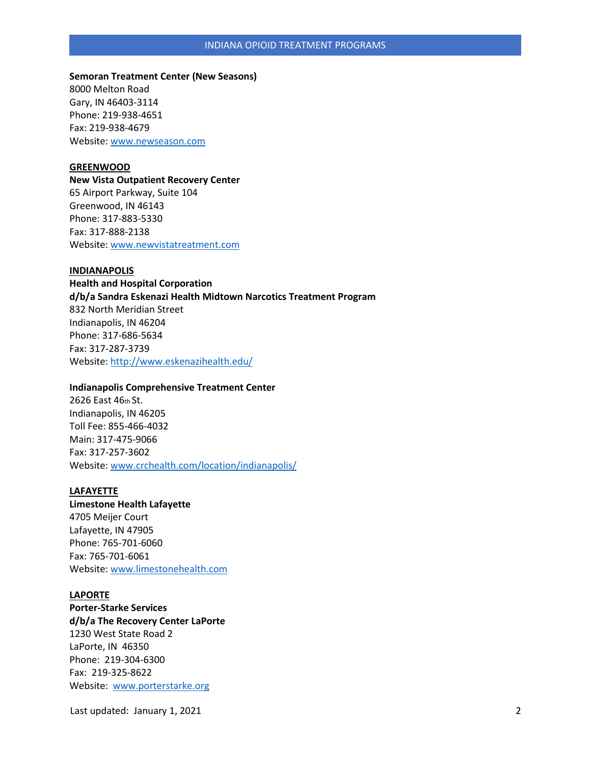### INDIANA OPIOID TREATMENT PROGRAMS

# **Semoran Treatment Center (New Seasons)** 8000 Melton Road Gary, IN 46403-3114 Phone: 219-938-4651 Fax: 219-938-4679 Website[: www.newseason.com](http://www.newseason.com/)

#### **GREENWOOD**

**New Vista Outpatient Recovery Center**  65 Airport Parkway, Suite 104 Greenwood, IN 46143 Phone: 317-883-5330 Fax: 317-888-2138 Website[: www.newvistatreatment.com](http://www.newvistatreatment.com/)

### **INDIANAPOLIS**

**Health and Hospital Corporation d/b/a Sandra Eskenazi Health Midtown Narcotics Treatment Program**  832 North Meridian Street Indianapolis, IN 46204 Phone: 317-686-5634 Fax: 317-287-3739 Website[: http://www.eskenazihealth.edu/](http://www.eskenazihealth.edu/)

### **Indianapolis Comprehensive Treatment Center**

2626 East 46th St. Indianapolis, IN 46205 Toll Fee: 855-466-4032 Main: 317-475-9066 Fax: 317-257-3602 Website[: www.crchealth.com/location/indianapolis/](http://www.crchealth.com/location/indianapolis/)

#### **LAFAYETTE**

**Limestone Health Lafayette**  4705 Meijer Court Lafayette, IN 47905 Phone: 765-701-6060 Fax: 765-701-6061 Website[: www.limestonehealth.com](http://www.limestonehealth.com/)

## **LAPORTE**

**Porter-Starke Services d/b/a The Recovery Center LaPorte**  1230 West State Road 2 LaPorte, IN 46350 Phone: 219-304-6300 Fax: 219-325-8622 Website: [www.porterstarke.org](http://www.porterstarke.org/)

Last updated: January 1, 2021 2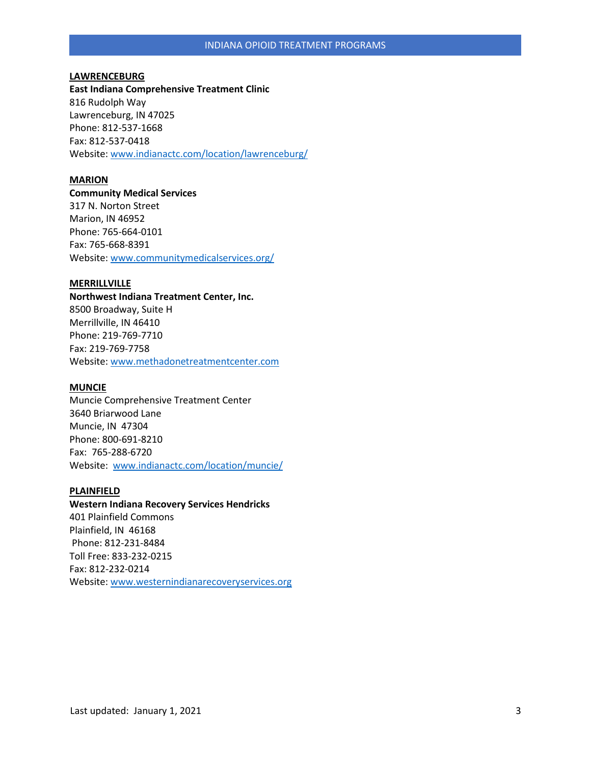## **LAWRENCEBURG**

**East Indiana Comprehensive Treatment Clinic**  816 Rudolph Way Lawrenceburg, IN 47025 Phone: 812-537-1668 Fax: 812-537-0418 Website[: www.indianactc.com/location/lawrenceburg/](http://www.indianactc.com/location/lawrenceburg/)

# **MARION**

**Community Medical Services**  317 N. Norton Street Marion, IN 46952 Phone: 765-664-0101 Fax: 765-668-8391 Website[: www.communitymedicalservices.org/](http://www.communitymedicalservices.org/)

## **MERRILLVILLE**

**Northwest Indiana Treatment Center, Inc.**  8500 Broadway, Suite H Merrillville, IN 46410 Phone: 219-769-7710 Fax: 219-769-7758 Website[: www.methadonetreatmentcenter.com](http://www.methadonetreatmentcenter.com/)

### **MUNCIE**

Muncie Comprehensive Treatment Center 3640 Briarwood Lane Muncie, IN 47304 Phone: 800-691-8210 Fax: 765-288-6720 Website: [www.indianactc.com/location/muncie/](http://www.indianactc.com/location/muncie/)

### **PLAINFIELD**

**Western Indiana Recovery Services Hendricks** 401 Plainfield Commons Plainfield, IN 46168 Phone: 812-231-8484 Toll Free: 833-232-0215 Fax: 812-232-0214 Website[: www.westernindianarecoveryservices.org](http://www.westernindianarecoveryservices.org/)